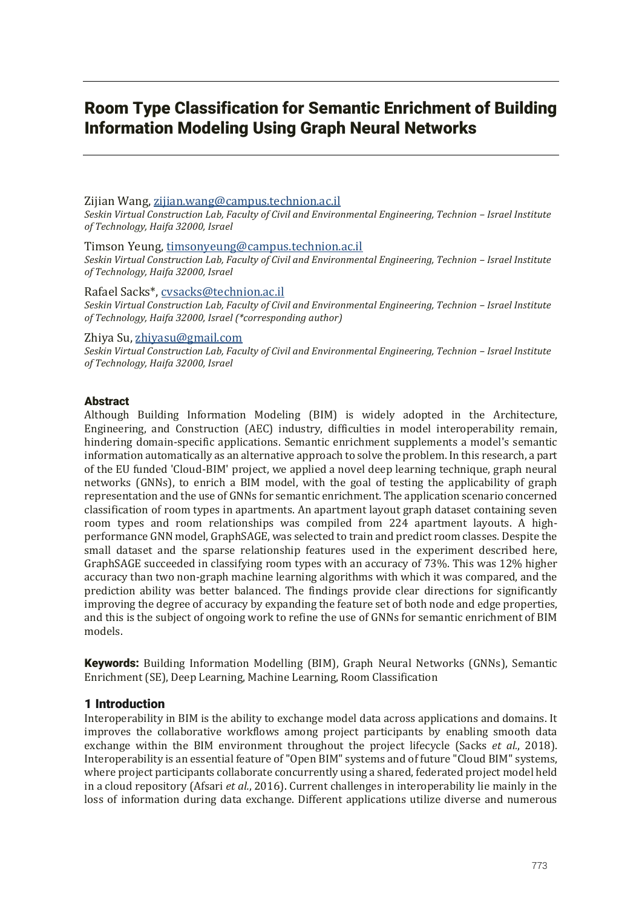# Room Type Classification for Semantic Enrichment of Building Information Modeling Using Graph Neural Networks

# Zijian Wang, zijian.wang@campus.technion.ac.il

*Seskin Virtual Construction Lab, Faculty of Civil and Environmental Engineering, Technion - Israel Institute of Technology, Haifa 32000, Israel*

#### Timson Yeung, timsonyeung@campus.technion.ac.il

*Seskin Virtual Construction Lab, Faculty of Civil and Environmental Engineering, Technion – Israel Institute of Technology, Haifa 32000, Israel*

# Rafael Sacks\*, cvsacks@technion.ac.il

*Seskin Virtual Construction Lab, Faculty of Civil and Environmental Engineering, Technion – Israel Institute of Technology, Haifa 32000, Israel (\*corresponding author)*

## Zhiya Su, zhiyasu@gmail.com

*Seskin Virtual Construction Lab, Faculty of Civil and Environmental Engineering, Technion - Israel Institute of Technology, Haifa 32000, Israel*

# Abstract

Although Building Information Modeling (BIM) is widely adopted in the Architecture, Engineering, and Construction (AEC) industry, difficulties in model interoperability remain, hindering domain-specific applications. Semantic enrichment supplements a model's semantic information automatically as an alternative approach to solve the problem. In this research, a part of the EU funded 'Cloud-BIM' project, we applied a novel deep learning technique, graph neural networks (GNNs), to enrich a BIM model, with the goal of testing the applicability of graph representation and the use of GNNs for semantic enrichment. The application scenario concerned classification of room types in apartments. An apartment layout graph dataset containing seven room types and room relationships was compiled from 224 apartment layouts. A highperformance GNN model, GraphSAGE, was selected to train and predict room classes. Despite the small dataset and the sparse relationship features used in the experiment described here, GraphSAGE succeeded in classifying room types with an accuracy of 73%. This was 12% higher accuracy than two non-graph machine learning algorithms with which it was compared, and the prediction ability was better balanced. The findings provide clear directions for significantly improving the degree of accuracy by expanding the feature set of both node and edge properties, and this is the subject of ongoing work to refine the use of GNNs for semantic enrichment of BIM models.

Keywords: Building Information Modelling (BIM), Graph Neural Networks (GNNs), Semantic Enrichment (SE), Deep Learning, Machine Learning, Room Classification

# 1 Introduction

Interoperability in BIM is the ability to exchange model data across applications and domains. It improves the collaborative workflows among project participants by enabling smooth data exchange within the BIM environment throughout the project lifecycle (Sacks *et al.*, 2018). Interoperability is an essential feature of "Open BIM" systems and of future "Cloud BIM" systems, where project participants collaborate concurrently using a shared, federated project model held in a cloud repository (Afsari *et al.*, 2016). Current challenges in interoperability lie mainly in the loss of information during data exchange. Different applications utilize diverse and numerous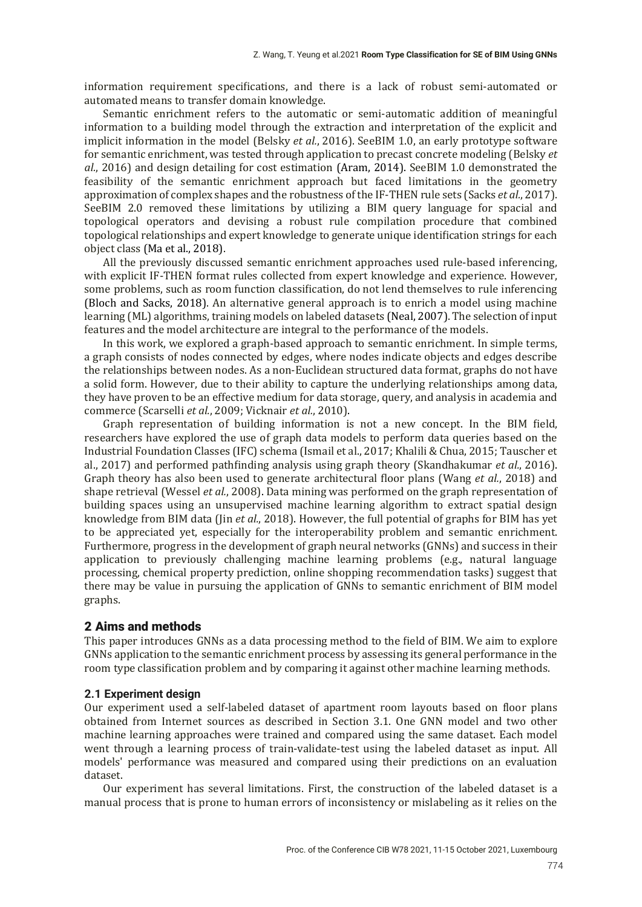information requirement specifications, and there is a lack of robust semi-automated or automated means to transfer domain knowledge.

Semantic enrichment refers to the automatic or semi-automatic addition of meaningful information to a building model through the extraction and interpretation of the explicit and implicit information in the model (Belsky *et al.*, 2016). SeeBIM 1.0, an early prototype software for semantic enrichment, was tested through application to precast concrete modeling (Belsky *et al.*, 2016) and design detailing for cost estimation (Aram, 2014). SeeBIM 1.0 demonstrated the feasibility of the semantic enrichment approach but faced limitations in the geometry approximation of complex shapes and the robustness of the IF-THEN rule sets (Sacks *et al.*, 2017). SeeBIM 2.0 removed these limitations by utilizing a BIM query language for spacial and topological operators and devising a robust rule compilation procedure that combined topological relationships and expert knowledge to generate unique identification strings for each object class (Ma et al., 2018).

All the previously discussed semantic enrichment approaches used rule-based inferencing, with explicit IF-THEN format rules collected from expert knowledge and experience. However, some problems, such as room function classification, do not lend themselves to rule inferencing (Bloch and Sacks, 2018). An alternative general approach is to enrich a model using machine learning (ML) algorithms, training models on labeled datasets (Neal, 2007). The selection of input features and the model architecture are integral to the performance of the models.

In this work, we explored a graph-based approach to semantic enrichment. In simple terms, a graph consists of nodes connected by edges, where nodes indicate objects and edges describe the relationships between nodes. As a non-Euclidean structured data format, graphs do not have a solid form. However, due to their ability to capture the underlying relationships among data, they have proven to be an effective medium for data storage, query, and analysis in academia and commerce (Scarselli *et al.*, 2009: Vicknair *et al.*, 2010).

Graph representation of building information is not a new concept. In the BIM field, researchers have explored the use of graph data models to perform data queries based on the Industrial Foundation Classes (IFC) schema (Ismail et al., 2017; Khalili & Chua, 2015; Tauscher et al., 2017) and performed pathfinding analysis using graph theory (Skandhakumar *et al.*, 2016). Graph theory has also been used to generate architectural floor plans (Wang *et al.*, 2018) and shape retrieval (Wessel *et al.*, 2008). Data mining was performed on the graph representation of building spaces using an unsupervised machine learning algorithm to extract spatial design knowledge from BIM data (Jin *et al.*, 2018). However, the full potential of graphs for BIM has yet to be appreciated yet, especially for the interoperability problem and semantic enrichment. Furthermore, progress in the development of graph neural networks (GNNs) and success in their application to previously challenging machine learning problems (e.g., natural language processing, chemical property prediction, online shopping recommendation tasks) suggest that there may be value in pursuing the application of GNNs to semantic enrichment of BIM model graphs.

#### 2 Aims and methods

This paper introduces GNNs as a data processing method to the field of BIM. We aim to explore GNNs application to the semantic enrichment process by assessing its general performance in the room type classification problem and by comparing it against other machine learning methods.

#### **2.1 Experiment design**

Our experiment used a self-labeled dataset of apartment room layouts based on floor plans obtained from Internet sources as described in Section 3.1. One GNN model and two other machine learning approaches were trained and compared using the same dataset. Each model went through a learning process of train-validate-test using the labeled dataset as input. All models̵ performance was measured and compared using their predictions on an evaluation dataset.

Our experiment has several limitations. First, the construction of the labeled dataset is a manual process that is prone to human errors of inconsistency or mislabeling as it relies on the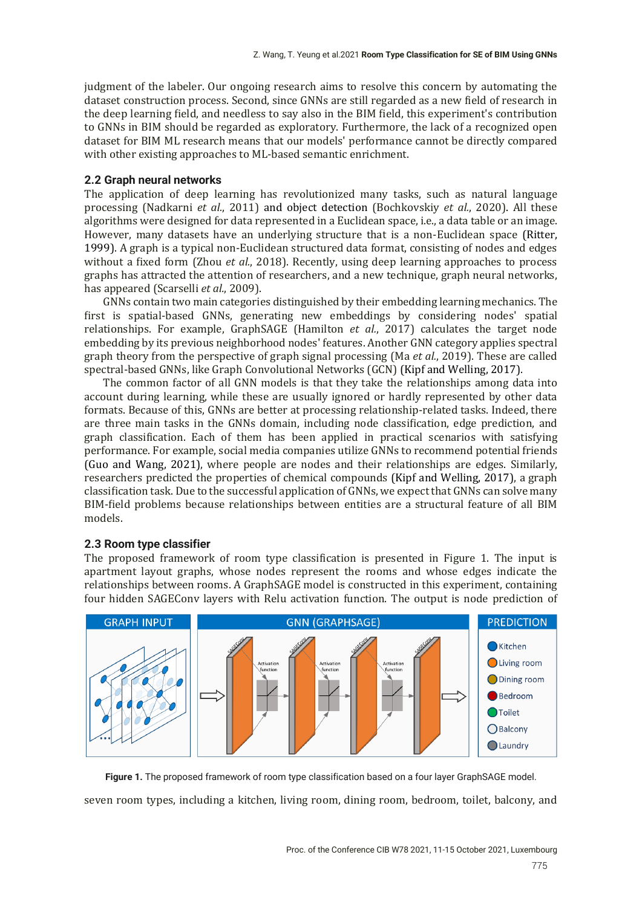judgment of the labeler. Our ongoing research aims to resolve this concern by automating the dataset construction process. Second, since GNNs are still regarded as a new field of research in the deep learning field, and needless to say also in the BIM field, this experiment's contribution to GNNs in BIM should be regarded as exploratory. Furthermore, the lack of a recognized open dataset for BIM ML research means that our models' performance cannot be directly compared with other existing approaches to ML-based semantic enrichment.

#### **2.2 Graph neural networks**

The application of deep learning has revolutionized many tasks, such as natural language processing (Nadkarni *et al.*, 2011) and object detection (Bochkovskiy *et al.*, 2020). All these algorithms were designed for data represented in a Euclidean space, i.e., a data table or an image. However, many datasets have an underlying structure that is a non-Euclidean space (Ritter, 1999). A graph is a typical non-Euclidean structured data format, consisting of nodes and edges without a fixed form (Zhou *et al.*, 2018). Recently, using deep learning approaches to process graphs has attracted the attention of researchers, and a new technique, graph neural networks, has appeared (Scarselli *et al.*, 2009).

GNNs contain two main categories distinguished by their embedding learning mechanics. The first is spatial-based GNNs, generating new embeddings by considering nodes' spatial relationships. For example, GraphSAGE (Hamilton *et al.*, 2017) calculates the target node embedding by its previous neighborhood nodes' features. Another GNN category applies spectral graph theory from the perspective of graph signal processing (Ma *et al.*, 2019). These are called spectral-based GNNs, like Graph Convolutional Networks (GCN) (Kipf and Welling, 2017).

The common factor of all GNN models is that they take the relationships among data into account during learning, while these are usually ignored or hardly represented by other data formats. Because of this, GNNs are better at processing relationship-related tasks. Indeed, there are three main tasks in the GNNs domain, including node classification, edge prediction, and graph classification. Each of them has been applied in practical scenarios with satisfying performance. For example, social media companies utilize GNNs to recommend potential friends (Guo and Wang, 2021), where people are nodes and their relationships are edges. Similarly, researchers predicted the properties of chemical compounds (Kipf and Welling, 2017), a graph classification task. Due to the successful application of GNNs, we expect that GNNs can solve many BIM-field problems because relationships between entities are a structural feature of all BIM models.

#### **2.3 Room type classifier**

The proposed framework of room type classification is presented in Figure 1. The input is apartment layout graphs, whose nodes represent the rooms and whose edges indicate the relationships between rooms. A GraphSAGE model is constructed in this experiment, containing four hidden SAGEConv layers with Relu activation function. The output is node prediction of



seven room types, including a kitchen, living room, dining room, bedroom, toilet, balcony, and **Figure 1.** The proposed framework of room type classification based on a four layer GraphSAGE model.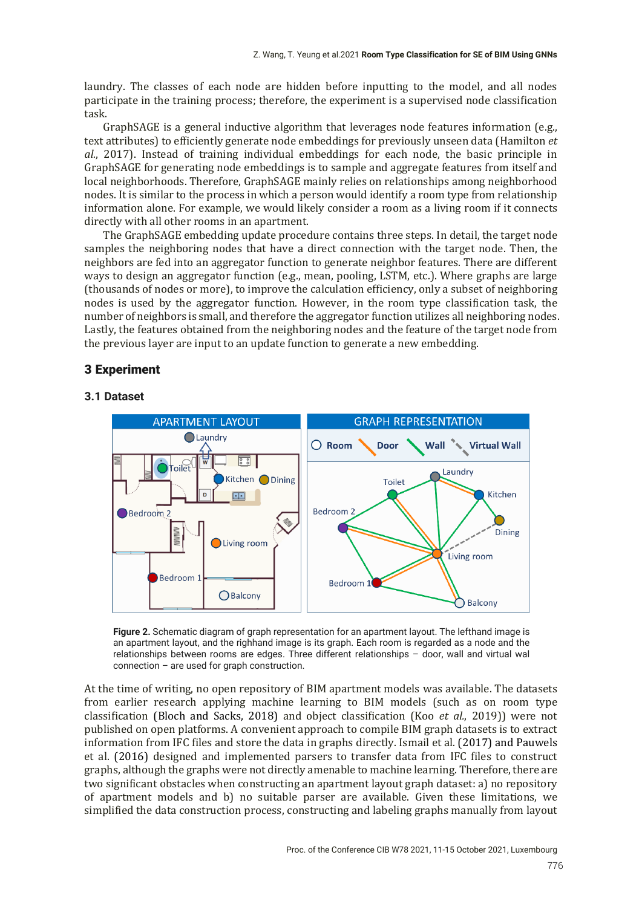laundry. The classes of each node are hidden before inputting to the model, and all nodes participate in the training process; therefore, the experiment is a supervised node classification task.

GraphSAGE is a general inductive algorithm that leverages node features information  $(e.g.,\)$ text attributes) to efficiently generate node embeddings for previously unseen data (Hamilton *et*) *al.*, 2017). Instead of training individual embeddings for each node, the basic principle in GraphSAGE for generating node embeddings is to sample and aggregate features from itself and local neighborhoods. Therefore, GraphSAGE mainly relies on relationships among neighborhood nodes. It is similar to the process in which a person would identify a room type from relationship information alone. For example, we would likely consider a room as a living room if it connects directly with all other rooms in an apartment.

The GraphSAGE embedding update procedure contains three steps. In detail, the target node samples the neighboring nodes that have a direct connection with the target node. Then, the neighbors are fed into an aggregator function to generate neighbor features. There are different ways to design an aggregator function (e.g., mean, pooling, LSTM, etc.). Where graphs are large (thousands of nodes or more), to improve the calculation efficiency, only a subset of neighboring nodes is used by the aggregator function. However, in the room type classification task, the number of neighbors is small, and therefore the aggregator function utilizes all neighboring nodes. Lastly, the features obtained from the neighboring nodes and the feature of the target node from the previous layer are input to an update function to generate a new embedding.

# 3 Experiment

## **3.1 Dataset**



**Figure 2.** Schematic diagram of graph representation for an apartment layout. The lefthand image is an apartment layout, and the righhand image is its graph. Each room is regarded as a node and the relationships between rooms are edges. Three different relationships – door, wall and virtual wal connection – are used for graph construction.

At the time of writing, no open repository of BIM apartment models was available. The datasets from earlier research applying machine learning to BIM models (such as on room type classification (Bloch and Sacks, 2018) and object classification (Koo *et al.*, 2019)) were not published on open platforms. A convenient approach to compile BIM graph datasets is to extract information from IFC files and store the data in graphs directly. Ismail et al.  $(2017)$  and Pauwels et al.  $(2016)$  designed and implemented parsers to transfer data from IFC files to construct graphs, although the graphs were not directly amenable to machine learning. Therefore, there are two significant obstacles when constructing an apartment layout graph dataset: a) no repository of apartment models and b) no suitable parser are available. Given these limitations, we simplified the data construction process, constructing and labeling graphs manually from layout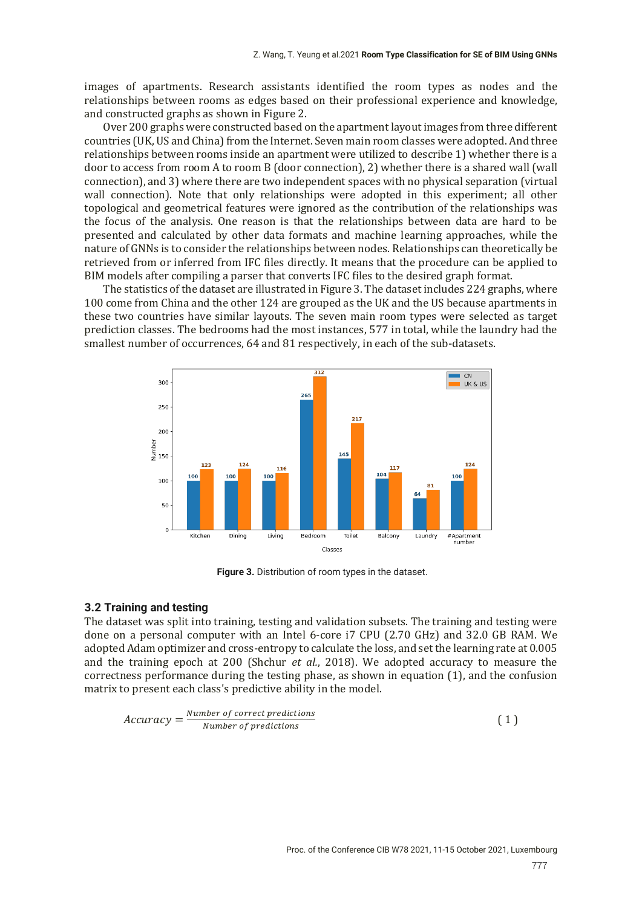images of apartments. Research assistants identified the room types as nodes and the relationships between rooms as edges based on their professional experience and knowledge, and constructed graphs as shown in Figure 2.

Over 200 graphs were constructed based on the apartment layout images from three different countries (UK, US and China) from the Internet. Seven main room classes were adopted. And three relationships between rooms inside an apartment were utilized to describe 1) whether there is a door to access from room A to room B  $\alpha$  (door connection), 2 whether there is a shared wall  $\alpha$  wall connection), and 3) where there are two independent spaces with no physical separation (virtual wall connection). Note that only relationships were adopted in this experiment; all other topological and geometrical features were ignored as the contribution of the relationships was the focus of the analysis. One reason is that the relationships between data are hard to be presented and calculated by other data formats and machine learning approaches, while the nature of GNNs is to consider the relationships between nodes. Relationships can theoretically be retrieved from or inferred from IFC files directly. It means that the procedure can be applied to BIM models after compiling a parser that converts IFC files to the desired graph format.

The statistics of the dataset are illustrated in Figure 3. The dataset includes 224 graphs, where 100 come from China and the other 124 are grouped as the UK and the US because apartments in these two countries have similar layouts. The seven main room types were selected as target prediction classes. The bedrooms had the most instances, 577 in total, while the laundry had the smallest number of occurrences, 64 and 81 respectively, in each of the sub-datasets.



**Figure 3.** Distribution of room types in the dataset.

#### **3.2 Training and testing**

The dataset was split into training, testing and validation subsets. The training and testing were done on a personal computer with an Intel 6-core i7 CPU (2.70 GHz) and 32.0 GB RAM. We adopted Adam optimizer and cross-entropy to calculate the loss, and set the learning rate at 0.005 and the training epoch at 200 (Shchur *et al.*, 2018). We adopted accuracy to measure the correctness performance during the testing phase, as shown in equation  $(1)$ , and the confusion matrix to present each class's predictive ability in the model.

$$
Accuracy = \frac{Number\ of\ correct\ predictions}{Number\ of\ predictions} \tag{1}
$$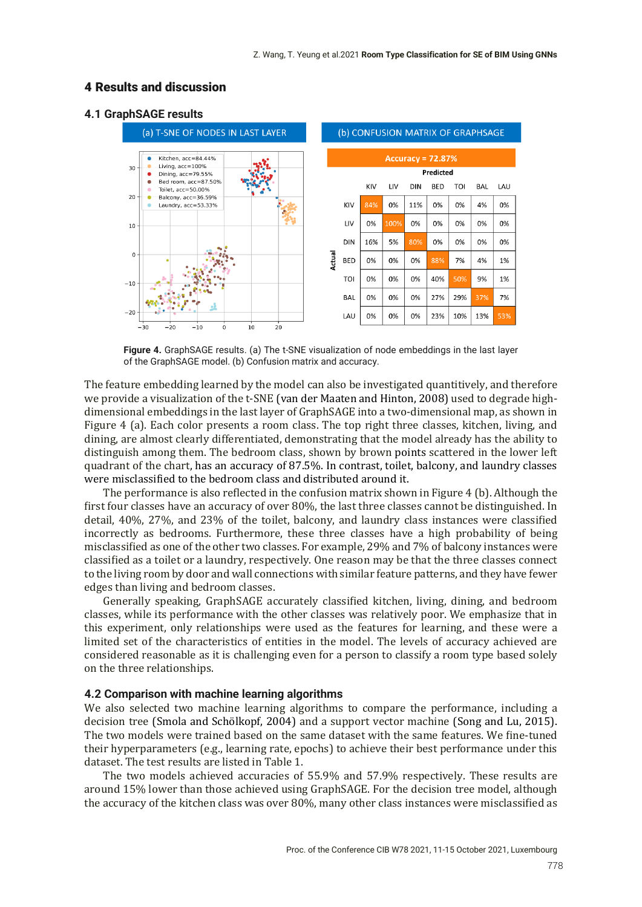# 4 Results and discussion

#### **4.1 GraphSAGE results**



**Figure 4.** GraphSAGE results. (a) The t-SNE visualization of node embeddings in the last layer of the GraphSAGE model. (b) Confusion matrix and accuracy.

The feature embedding learned by the model can also be investigated quantitively, and therefore we provide a visualization of the t-SNE (van der Maaten and Hinton, 2008) used to degrade highdimensional embeddings in the last layer of GraphSAGE into a two-dimensional map, as shown in Figure 4 (a). Each color presents a room class. The top right three classes, kitchen, living, and dining, are almost clearly differentiated, demonstrating that the model already has the ability to distinguish among them. The bedroom class, shown by brown points scattered in the lower left quadrant of the chart, has an accuracy of 87.5%. In contrast, toilet, balcony, and laundry classes were misclassified to the bedroom class and distributed around it.

The performance is also reflected in the confusion matrix shown in Figure 4 (b). Although the first four classes have an accuracy of over 80%, the last three classes cannot be distinguished. In detail, 40%, 27%, and 23% of the toilet, balcony, and laundry class instances were classified incorrectly as bedrooms. Furthermore, these three classes have a high probability of being misclassified as one of the other two classes. For example, 29% and 7% of balcony instances were classified as a toilet or a laundry, respectively. One reason may be that the three classes connect to the living room by door and wall connections with similar feature patterns, and they have fewer edges than living and bedroom classes.

Generally speaking, GraphSAGE accurately classified kitchen, living, dining, and bedroom classes, while its performance with the other classes was relatively poor. We emphasize that in this experiment, only relationships were used as the features for learning, and these were a limited set of the characteristics of entities in the model. The levels of accuracy achieved are considered reasonable as it is challenging even for a person to classify a room type based solely on the three relationships.

#### **4.2 Comparison with machine learning algorithms**

We also selected two machine learning algorithms to compare the performance, including a decision tree (Smola and Schölkopf, 2004) and a support vector machine (Song and Lu, 2015). The two models were trained based on the same dataset with the same features. We fine-tuned their hyperparameters (e.g., learning rate, epochs) to achieve their best performance under this dataset. The test results are listed in Table 1.

The two models achieved accuracies of 55.9% and 57.9% respectively. These results are around 15% lower than those achieved using GraphSAGE. For the decision tree model, although the accuracy of the kitchen class was over 80%, many other class instances were misclassified as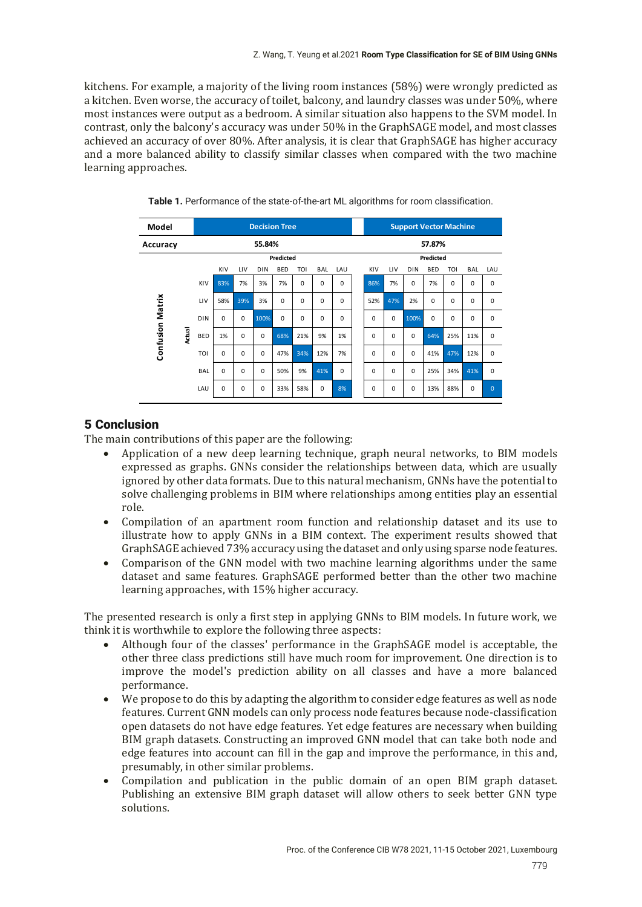kitchens. For example, a majority of the living room instances (58%) were wrongly predicted as a kitchen. Even worse, the accuracy of toilet, balcony, and laundry classes was under 50%, where most instances were output as a bedroom. A similar situation also happens to the SVM model. In contrast, only the balcony's accuracy was under 50% in the GraphSAGE model, and most classes achieved an accuracy of over 80%. After analysis, it is clear that GraphSAGE has higher accuracy and a more balanced ability to classify similar classes when compared with the two machine learning approaches.

| Model                   |        | <b>Decision Tree</b> |          |          |             |             |             |             |             |  | <b>Support Vector Machine</b> |          |             |            |             |            |                |  |
|-------------------------|--------|----------------------|----------|----------|-------------|-------------|-------------|-------------|-------------|--|-------------------------------|----------|-------------|------------|-------------|------------|----------------|--|
| Accuracy                |        | 55.84%               |          |          |             |             |             |             |             |  | 57.87%                        |          |             |            |             |            |                |  |
|                         |        | Predicted            |          |          |             |             |             |             |             |  | Predicted                     |          |             |            |             |            |                |  |
|                         |        |                      | KIV      | LIV      | <b>DIN</b>  | <b>BED</b>  | TOI         | <b>BAL</b>  | LAU         |  | KIV                           | LIV      | <b>DIN</b>  | <b>BED</b> | TOI         | <b>BAL</b> | LAU            |  |
| <b>Confusion Matrix</b> | Actual | KIV                  | 83%      | 7%       | 3%          | 7%          | $\mathbf 0$ | 0           | 0           |  | 86%                           | 7%       | $\mathbf 0$ | 7%         | $\mathbf 0$ | 0          | $\mathbf 0$    |  |
|                         |        | LIV                  | 58%      | 39%      | 3%          | $\mathbf 0$ | 0           | 0           | 0           |  | 52%                           | 47%      | 2%          | $\Omega$   | $\Omega$    | $\Omega$   | $\Omega$       |  |
|                         |        | <b>DIN</b>           | 0        | 0        | 100%        | $\mathbf 0$ | $\mathbf 0$ | 0           | 0           |  | 0                             | 0        | 100%        | 0          | $\mathbf 0$ | 0          | 0              |  |
|                         |        | <b>BED</b>           | 1%       | $\Omega$ | $\mathbf 0$ | 68%         | 21%         | 9%          | 1%          |  | $\Omega$                      | $\Omega$ | $\Omega$    | 64%        | 25%         | 11%        | $\Omega$       |  |
|                         |        | TOI                  | $\Omega$ | $\Omega$ | $\Omega$    | 47%         | 34%         | 12%         | 7%          |  | 0                             | $\Omega$ | $\Omega$    | 41%        | 47%         | 12%        | $\Omega$       |  |
|                         |        | <b>BAL</b>           | $\Omega$ | $\Omega$ | $\Omega$    | 50%         | 9%          | 41%         | $\mathbf 0$ |  | $\Omega$                      | $\Omega$ | $\Omega$    | 25%        | 34%         | 41%        | $\mathbf 0$    |  |
|                         |        | LAU                  | $\Omega$ | $\Omega$ | $\Omega$    | 33%         | 58%         | $\mathbf 0$ | 8%          |  | 0                             | 0        | $\Omega$    | 13%        | 88%         | $\Omega$   | $\overline{0}$ |  |

**Table 1.** Performance of the state-of-the-art ML algorithms for room classification.

# 5 Conclusion

The main contributions of this paper are the following:

- Application of a new deep learning technique, graph neural networks, to BIM models expressed as graphs. GNNs consider the relationships between data, which are usually ignored by other data formats. Due to this natural mechanism, GNNs have the potential to solve challenging problems in BIM where relationships among entities play an essential role.
- Compilation of an apartment room function and relationship dataset and its use to illustrate how to apply GNNs in a BIM context. The experiment results showed that GraphSAGE achieved 73% accuracy using the dataset and only using sparse node features.
- Comparison of the GNN model with two machine learning algorithms under the same dataset and same features. GraphSAGE performed better than the other two machine learning approaches, with 15% higher accuracy.

The presented research is only a first step in applying GNNs to BIM models. In future work, we think it is worthwhile to explore the following three aspects:

- Although four of the classes' performance in the GraphSAGE model is acceptable, the other three class predictions still have much room for improvement. One direction is to improve the model's prediction ability on all classes and have a more balanced performance.
- We propose to do this by adapting the algorithm to consider edge features as well as node features. Current GNN models can only process node features because node-classification open datasets do not have edge features. Yet edge features are necessary when building BIM graph datasets. Constructing an improved GNN model that can take both node and edge features into account can fill in the gap and improve the performance, in this and, presumably, in other similar problems.
- Compilation and publication in the public domain of an open BIM graph dataset. Publishing an extensive BIM graph dataset will allow others to seek better GNN type solutions.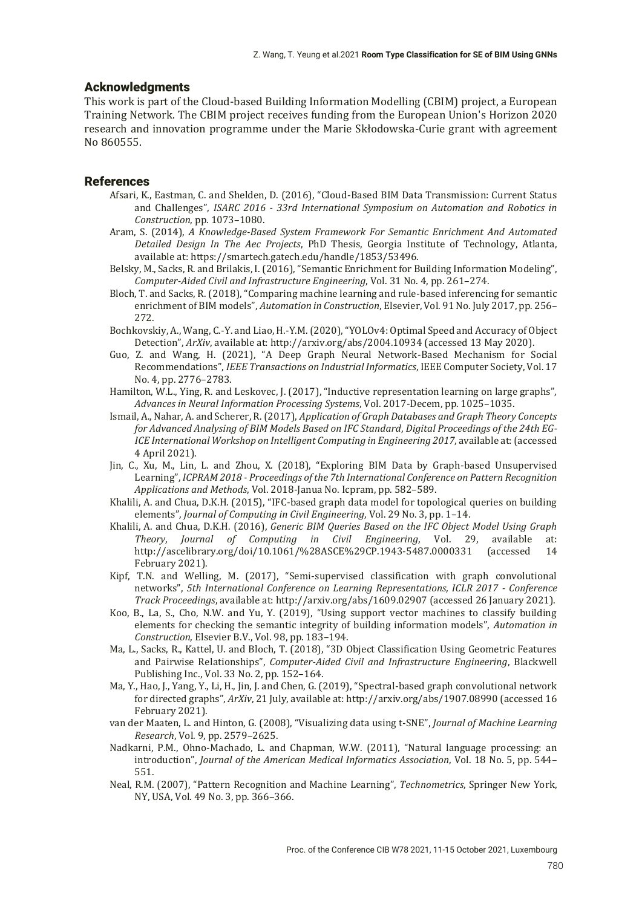## Acknowledgments

This work is part of the Cloud-based Building Information Modelling (CBIM) project, a European Training Network. The CBIM project receives funding from the European Union's Horizon 2020 research and innovation programme under the Marie Skłodowska-Curie grant with agreement Νο 860555.

## References

- Afsari, K., Eastman, C. and Shelden, D. (2016), "Cloud-Based BIM Data Transmission: Current Status and Challenges", *ISARC 2016 - 33rd International Symposium on Automation and Robotics in Construction*, pp. 1073–1080.
- Aram, S. (2014), *A Knowledge-Based System Framework For Semantic Enrichment And Automated Detailed Design In The Aec Projects*, PhD Thesis, Georgia Institute of Technology, Atlanta, available at: https://smartech.gatech.edu/handle/1853/53496.
- Belsky, M., Sacks, R. and Brilakis, I. (2016), "Semantic Enrichment for Building Information Modeling", *Computer-Aided Civil and Infrastructure Engineering*, Vol. 31 No. 4, pp. 261–274.
- Bloch, T. and Sacks, R. (2018), "Comparing machine learning and rule-based inferencing for semantic enrichment of BIM models", *Automation in Construction*, Elsevier, Vol. 91 No. July 2017, pp. 256– 272.
- Bochkovskiy, A., Wang, C.-Y. and Liao, H.-Y.M. (2020), "YOLOv4: Optimal Speed and Accuracy of Object Detection", *ArXiv*, available at: http://arxiv.org/abs/2004.10934 (accessed 13 May 2020).
- Guo, Z. and Wang, H. (2021), "A Deep Graph Neural Network-Based Mechanism for Social Recommendations", *IEEE Transactions on Industrial Informatics*, IEEE Computer Society, Vol. 17 No. 4, pp. 2776–2783.
- Hamilton, W.L., Ying, R. and Leskovec, J. (2017), "Inductive representation learning on large graphs", *Advances in Neural Information Processing Systems*, Vol. 2017-Decem, pp. 1025–1035.
- Ismail, A., Nahar, A. and Scherer, R. (2017), *Application of Graph Databases and Graph Theory Concepts for Advanced Analysing of BIM Models Based on IFC Standard*, *Digital Proceedings of the 24th EG-ICE International Workshop on Intelligent Computing in Engineering 2017*, available at: (accessed 4 April 2021).
- Jin, C., Xu, M., Lin, L. and Zhou, X. (2018), "Exploring BIM Data by Graph-based Unsupervised Learning", *ICPRAM 2018 - Proceedings of the 7th International Conference on Pattern Recognition Applications and Methods*, Vol. 2018-Janua No. Icpram, pp. 582–589.
- Khalili, A. and Chua, D.K.H. (2015), "IFC-based graph data model for topological queries on building elements", *Journal of Computing in Civil Engineering*, Vol. 29 No. 3, pp. 1–14.
- Khalili, A. and Chua, D.K.H. (2016), *Generic BIM Queries Based on the IFC Object Model Using Graph Theory*, *Journal of Computing in Civil Engineering*, Vol. 29, available at: http://ascelibrary.org/doi/10.1061/%28ASCE%29CP.1943-5487.0000331 (accessed 14 February 2021).
- Kipf, T.N. and Welling, M. (2017), "Semi-supervised classification with graph convolutional networks", *5th International Conference on Learning Representations, ICLR 2017 - Conference Track Proceedings*, available at: http://arxiv.org/abs/1609.02907 (accessed 26 January 2021).
- Koo, B., La, S., Cho, N.W. and Yu, Y. (2019), "Using support vector machines to classify building elements for checking the semantic integrity of building information models", *Automation in Construction*, Elsevier B.V., Vol. 98, pp. 183–194.
- Ma, L., Sacks, R., Kattel, U. and Bloch, T. (2018), "3D Object Classification Using Geometric Features and Pairwise Relationships", *Computer-Aided Civil and Infrastructure Engineering*, Blackwell Publishing Inc., Vol. 33 No. 2, pp. 152–164.
- Ma, Y., Hao, J., Yang, Y., Li, H., Jin, J. and Chen, G. (2019), "Spectral-based graph convolutional network for directed graphs", *ArXiv*, 21 July, available at: http://arxiv.org/abs/1907.08990 (accessed 16 February 2021).
- van der Maaten, L. and Hinton, G. (2008), "Visualizing data using t-SNE", *Journal of Machine Learning Research*, Vol. 9, pp. 2579–2625.
- Nadkarni, P.M., Ohno-Machado, L. and Chapman, W.W. (2011), "Natural language processing: an introduction", *Journal of the American Medical Informatics Association*, Vol. 18 No. 5, pp. 544– 551.
- Neal, R.M. (2007), "Pattern Recognition and Machine Learning", *Technometrics*, Springer New York, NY, USA, Vol. 49 No. 3, pp. 366–366.